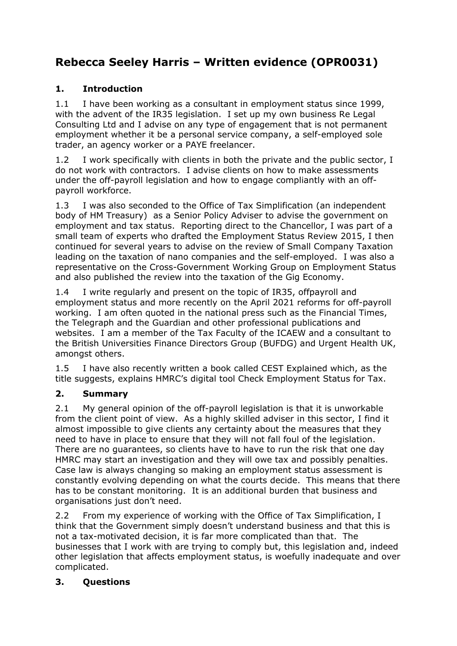# **Rebecca Seeley Harris – Written evidence (OPR0031)**

## **1. Introduction**

1.1 I have been working as a consultant in employment status since 1999. with the advent of the IR35 legislation. I set up my own business Re Legal Consulting Ltd and I advise on any type of engagement that is not permanent employment whether it be a personal service company, a self-employed sole trader, an agency worker or a PAYE freelancer.

1.2 I work specifically with clients in both the private and the public sector, I do not work with contractors. I advise clients on how to make assessments under the off-payroll legislation and how to engage compliantly with an offpayroll workforce.

1.3 I was also seconded to the Office of Tax Simplification (an independent body of HM Treasury) as a Senior Policy Adviser to advise the government on employment and tax status. Reporting direct to the Chancellor, I was part of a small team of experts who drafted the Employment Status Review 2015, I then continued for several years to advise on the review of Small Company Taxation leading on the taxation of nano companies and the self-employed. I was also a representative on the Cross-Government Working Group on Employment Status and also published the review into the taxation of the Gig Economy.

1.4 I write regularly and present on the topic of IR35, offpayroll and employment status and more recently on the April 2021 reforms for off-payroll working. I am often quoted in the national press such as the Financial Times, the Telegraph and the Guardian and other professional publications and websites. I am a member of the Tax Faculty of the ICAEW and a consultant to the British Universities Finance Directors Group (BUFDG) and Urgent Health UK, amongst others.

1.5 I have also recently written a book called CEST Explained which, as the title suggests, explains HMRC's digital tool Check Employment Status for Tax.

## **2. Summary**

2.1 My general opinion of the off-payroll legislation is that it is unworkable from the client point of view. As a highly skilled adviser in this sector, I find it almost impossible to give clients any certainty about the measures that they need to have in place to ensure that they will not fall foul of the legislation. There are no guarantees, so clients have to have to run the risk that one day HMRC may start an investigation and they will owe tax and possibly penalties. Case law is always changing so making an employment status assessment is constantly evolving depending on what the courts decide. This means that there has to be constant monitoring. It is an additional burden that business and organisations just don't need.

2.2 From my experience of working with the Office of Tax Simplification, I think that the Government simply doesn't understand business and that this is not a tax-motivated decision, it is far more complicated than that. The businesses that I work with are trying to comply but, this legislation and, indeed other legislation that affects employment status, is woefully inadequate and over complicated.

## **3. Questions**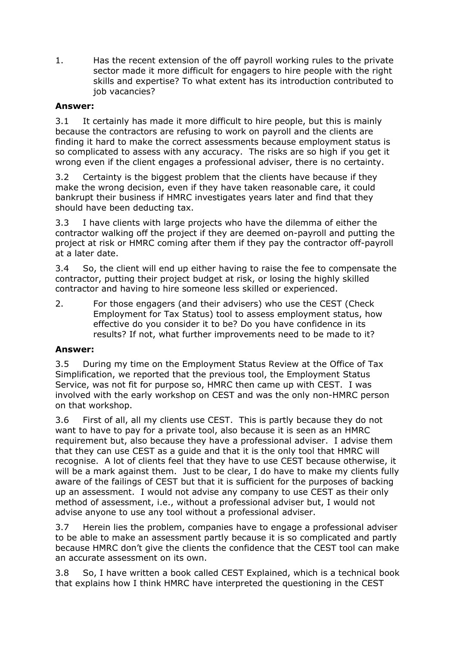1. Has the recent extension of the off payroll working rules to the private sector made it more difficult for engagers to hire people with the right skills and expertise? To what extent has its introduction contributed to job vacancies?

## **Answer:**

3.1 It certainly has made it more difficult to hire people, but this is mainly because the contractors are refusing to work on payroll and the clients are finding it hard to make the correct assessments because employment status is so complicated to assess with any accuracy. The risks are so high if you get it wrong even if the client engages a professional adviser, there is no certainty.

3.2 Certainty is the biggest problem that the clients have because if they make the wrong decision, even if they have taken reasonable care, it could bankrupt their business if HMRC investigates years later and find that they should have been deducting tax.

3.3 I have clients with large projects who have the dilemma of either the contractor walking off the project if they are deemed on-payroll and putting the project at risk or HMRC coming after them if they pay the contractor off-payroll at a later date.

3.4 So, the client will end up either having to raise the fee to compensate the contractor, putting their project budget at risk, or losing the highly skilled contractor and having to hire someone less skilled or experienced.

2. For those engagers (and their advisers) who use the CEST (Check Employment for Tax Status) tool to assess employment status, how effective do you consider it to be? Do you have confidence in its results? If not, what further improvements need to be made to it?

#### **Answer:**

3.5 During my time on the Employment Status Review at the Office of Tax Simplification, we reported that the previous tool, the Employment Status Service, was not fit for purpose so, HMRC then came up with CEST. I was involved with the early workshop on CEST and was the only non-HMRC person on that workshop.

3.6 First of all, all my clients use CEST. This is partly because they do not want to have to pay for a private tool, also because it is seen as an HMRC requirement but, also because they have a professional adviser. I advise them that they can use CEST as a guide and that it is the only tool that HMRC will recognise. A lot of clients feel that they have to use CEST because otherwise, it will be a mark against them. Just to be clear, I do have to make my clients fully aware of the failings of CEST but that it is sufficient for the purposes of backing up an assessment. I would not advise any company to use CEST as their only method of assessment, i.e., without a professional adviser but, I would not advise anyone to use any tool without a professional adviser.

3.7 Herein lies the problem, companies have to engage a professional adviser to be able to make an assessment partly because it is so complicated and partly because HMRC don't give the clients the confidence that the CEST tool can make an accurate assessment on its own.

3.8 So, I have written a book called CEST Explained, which is a technical book that explains how I think HMRC have interpreted the questioning in the CEST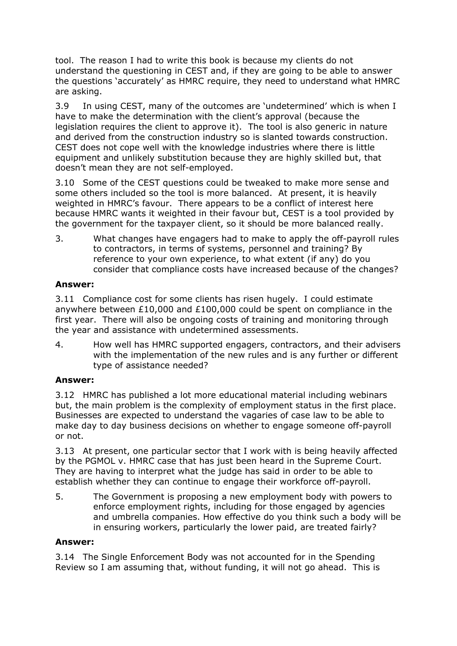tool. The reason I had to write this book is because my clients do not understand the questioning in CEST and, if they are going to be able to answer the questions 'accurately' as HMRC require, they need to understand what HMRC are asking.

3.9 In using CEST, many of the outcomes are 'undetermined' which is when I have to make the determination with the client's approval (because the legislation requires the client to approve it). The tool is also generic in nature and derived from the construction industry so is slanted towards construction. CEST does not cope well with the knowledge industries where there is little equipment and unlikely substitution because they are highly skilled but, that doesn't mean they are not self-employed.

3.10 Some of the CEST questions could be tweaked to make more sense and some others included so the tool is more balanced. At present, it is heavily weighted in HMRC's favour. There appears to be a conflict of interest here because HMRC wants it weighted in their favour but, CEST is a tool provided by the government for the taxpayer client, so it should be more balanced really.

3. What changes have engagers had to make to apply the off-payroll rules to contractors, in terms of systems, personnel and training? By reference to your own experience, to what extent (if any) do you consider that compliance costs have increased because of the changes?

#### **Answer:**

3.11 Compliance cost for some clients has risen hugely. I could estimate anywhere between £10,000 and £100,000 could be spent on compliance in the first year. There will also be ongoing costs of training and monitoring through the year and assistance with undetermined assessments.

4. How well has HMRC supported engagers, contractors, and their advisers with the implementation of the new rules and is any further or different type of assistance needed?

## **Answer:**

3.12 HMRC has published a lot more educational material including webinars but, the main problem is the complexity of employment status in the first place. Businesses are expected to understand the vagaries of case law to be able to make day to day business decisions on whether to engage someone off-payroll or not.

3.13 At present, one particular sector that I work with is being heavily affected by the PGMOL v. HMRC case that has just been heard in the Supreme Court. They are having to interpret what the judge has said in order to be able to establish whether they can continue to engage their workforce off-payroll.

5. The Government is proposing a new employment body with powers to enforce employment rights, including for those engaged by agencies and umbrella companies. How effective do you think such a body will be in ensuring workers, particularly the lower paid, are treated fairly?

## **Answer:**

3.14 The Single Enforcement Body was not accounted for in the Spending Review so I am assuming that, without funding, it will not go ahead. This is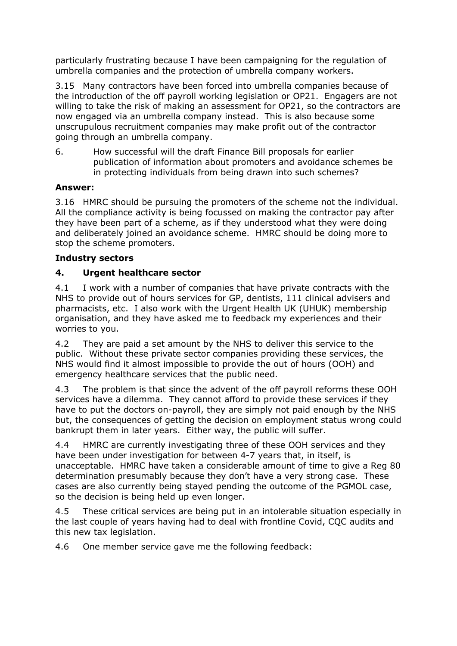particularly frustrating because I have been campaigning for the regulation of umbrella companies and the protection of umbrella company workers.

3.15 Many contractors have been forced into umbrella companies because of the introduction of the off payroll working legislation or OP21. Engagers are not willing to take the risk of making an assessment for OP21, so the contractors are now engaged via an umbrella company instead. This is also because some unscrupulous recruitment companies may make profit out of the contractor going through an umbrella company.

6. How successful will the draft Finance Bill proposals for earlier publication of information about promoters and avoidance schemes be in protecting individuals from being drawn into such schemes?

#### **Answer:**

3.16 HMRC should be pursuing the promoters of the scheme not the individual. All the compliance activity is being focussed on making the contractor pay after they have been part of a scheme, as if they understood what they were doing and deliberately joined an avoidance scheme. HMRC should be doing more to stop the scheme promoters.

#### **Industry sectors**

#### **4. Urgent healthcare sector**

4.1 I work with a number of companies that have private contracts with the NHS to provide out of hours services for GP, dentists, 111 clinical advisers and pharmacists, etc. I also work with the Urgent Health UK (UHUK) membership organisation, and they have asked me to feedback my experiences and their worries to you.

4.2 They are paid a set amount by the NHS to deliver this service to the public. Without these private sector companies providing these services, the NHS would find it almost impossible to provide the out of hours (OOH) and emergency healthcare services that the public need.

4.3 The problem is that since the advent of the off payroll reforms these OOH services have a dilemma. They cannot afford to provide these services if they have to put the doctors on-payroll, they are simply not paid enough by the NHS but, the consequences of getting the decision on employment status wrong could bankrupt them in later years. Either way, the public will suffer.

4.4 HMRC are currently investigating three of these OOH services and they have been under investigation for between 4-7 years that, in itself, is unacceptable. HMRC have taken a considerable amount of time to give a Reg 80 determination presumably because they don't have a very strong case. These cases are also currently being stayed pending the outcome of the PGMOL case, so the decision is being held up even longer.

4.5 These critical services are being put in an intolerable situation especially in the last couple of years having had to deal with frontline Covid, CQC audits and this new tax legislation.

4.6 One member service gave me the following feedback: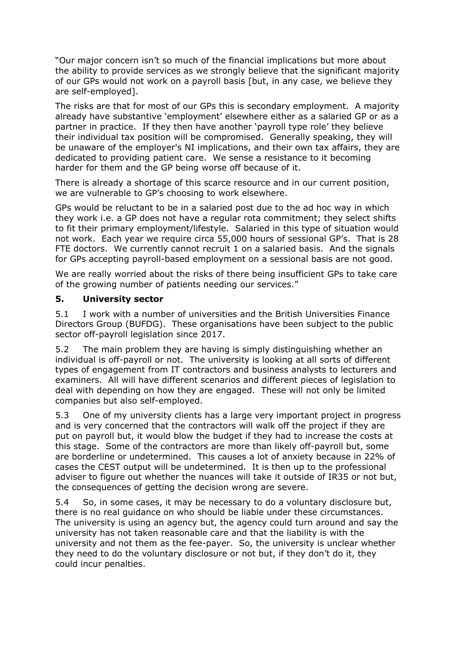"Our major concern isn't so much of the financial implications but more about the ability to provide services as we strongly believe that the significant majority of our GPs would not work on a payroll basis [but, in any case, we believe they are self-employed].

The risks are that for most of our GPs this is secondary employment. A majority already have substantive 'employment' elsewhere either as a salaried GP or as a partner in practice. If they then have another 'payroll type role' they believe their individual tax position will be compromised. Generally speaking, they will be unaware of the employer's NI implications, and their own tax affairs, they are dedicated to providing patient care. We sense a resistance to it becoming harder for them and the GP being worse off because of it.

There is already a shortage of this scarce resource and in our current position, we are vulnerable to GP's choosing to work elsewhere.

GPs would be reluctant to be in a salaried post due to the ad hoc way in which they work i.e. a GP does not have a regular rota commitment; they select shifts to fit their primary employment/lifestyle. Salaried in this type of situation would not work. Each year we require circa 55,000 hours of sessional GP's. That is 28 FTE doctors. We currently cannot recruit 1 on a salaried basis. And the signals for GPs accepting payroll-based employment on a sessional basis are not good.

We are really worried about the risks of there being insufficient GPs to take care of the growing number of patients needing our services."

#### **5. University sector**

5.1 I work with a number of universities and the British Universities Finance Directors Group (BUFDG). These organisations have been subject to the public sector off-payroll legislation since 2017.

5.2 The main problem they are having is simply distinguishing whether an individual is off-payroll or not. The university is looking at all sorts of different types of engagement from IT contractors and business analysts to lecturers and examiners. All will have different scenarios and different pieces of legislation to deal with depending on how they are engaged. These will not only be limited companies but also self-employed.

5.3 One of my university clients has a large very important project in progress and is very concerned that the contractors will walk off the project if they are put on payroll but, it would blow the budget if they had to increase the costs at this stage. Some of the contractors are more than likely off-payroll but, some are borderline or undetermined. This causes a lot of anxiety because in 22% of cases the CEST output will be undetermined. It is then up to the professional adviser to figure out whether the nuances will take it outside of IR35 or not but, the consequences of getting the decision wrong are severe.

5.4 So, in some cases, it may be necessary to do a voluntary disclosure but, there is no real guidance on who should be liable under these circumstances. The university is using an agency but, the agency could turn around and say the university has not taken reasonable care and that the liability is with the university and not them as the fee-payer. So, the university is unclear whether they need to do the voluntary disclosure or not but, if they don't do it, they could incur penalties.